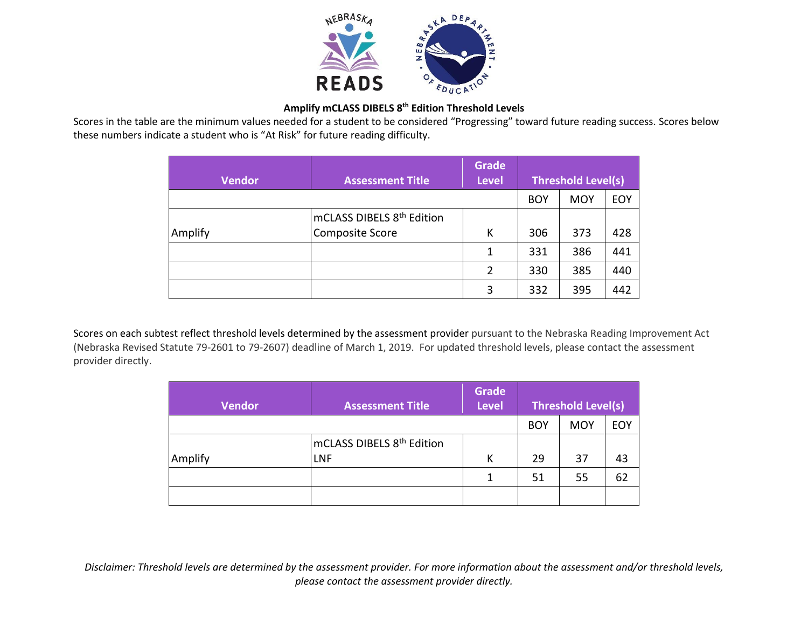

## **Amplify mCLASS DIBELS 8th Edition Threshold Levels**

Scores in the table are the minimum values needed for a student to be considered "Progressing" toward future reading success. Scores below these numbers indicate a student who is "At Risk" for future reading difficulty.

| <b>Vendor</b> | <b>Assessment Title</b>               | <b>Grade</b><br><b>Level</b> | <b>Threshold Level(s)</b> |            |            |
|---------------|---------------------------------------|------------------------------|---------------------------|------------|------------|
|               |                                       |                              | <b>BOY</b>                | <b>MOY</b> | <b>EOY</b> |
|               | mCLASS DIBELS 8 <sup>th</sup> Edition |                              |                           |            |            |
| Amplify       | Composite Score                       | К                            | 306                       | 373        | 428        |
|               |                                       | 1                            | 331                       | 386        | 441        |
|               |                                       | 2                            | 330                       | 385        | 440        |
|               |                                       | 3                            | 332                       | 395        | 442        |

Scores on each subtest reflect threshold levels determined by the assessment provider pursuant to the Nebraska Reading Improvement Act (Nebraska Revised Statute 79-2601 to 79-2607) deadline of March 1, 2019. For updated threshold levels, please contact the assessment provider directly.

| <b>Vendor</b> | <b>Assessment Title</b>               | <b>Grade</b><br><b>Level</b> | Threshold Level(s) |            |     |
|---------------|---------------------------------------|------------------------------|--------------------|------------|-----|
|               |                                       |                              | <b>BOY</b>         | <b>MOY</b> | EOY |
|               | mCLASS DIBELS 8 <sup>th</sup> Edition |                              |                    |            |     |
| Amplify       | LNF                                   | К                            | 29                 | 37         | 43  |
|               |                                       | 1                            | 51                 | 55         | 62  |
|               |                                       |                              |                    |            |     |

*Disclaimer: Threshold levels are determined by the assessment provider. For more information about the assessment and/or threshold levels, please contact the assessment provider directly.*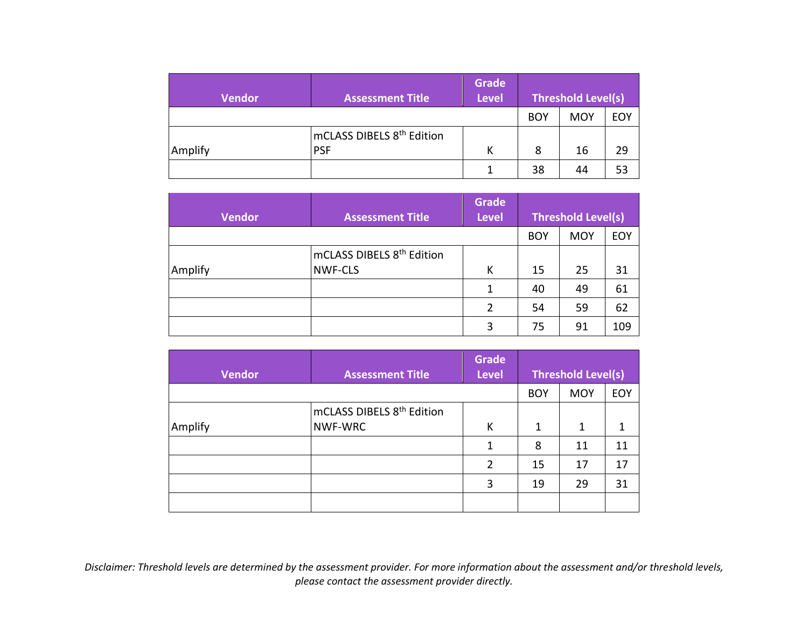| <b>Vendor</b> | <b>Assessment Title</b>               | <b>Grade</b><br><b>Level</b> | <b>Threshold Level(s)</b> |            |     |
|---------------|---------------------------------------|------------------------------|---------------------------|------------|-----|
|               |                                       |                              | <b>BOY</b>                | <b>MOY</b> | EOY |
|               | mCLASS DIBELS 8 <sup>th</sup> Edition |                              |                           |            |     |
| Amplify       | <b>PSF</b>                            | К                            | 8                         | 16         | 29  |
|               |                                       |                              | 38                        | 44         | 53  |

| <b>Vendor</b> | <b>Assessment Title</b>               | Grade<br><b>Level</b> | <b>Threshold Level(s)</b> |            |     |
|---------------|---------------------------------------|-----------------------|---------------------------|------------|-----|
|               |                                       |                       | <b>BOY</b>                | <b>MOY</b> | EOY |
|               | mCLASS DIBELS 8 <sup>th</sup> Edition |                       |                           |            |     |
| Amplify       | <b>NWF-CLS</b>                        | К                     | 15                        | 25         | 31  |
|               |                                       | 1                     | 40                        | 49         | 61  |
|               |                                       | 2                     | 54                        | 59         | 62  |
|               |                                       | 3                     | 75                        | 91         | 109 |

| <b>Vendor</b> | <b>Assessment Title</b>               | <b>Grade</b><br><b>Level</b> | <b>Threshold Level(s)</b> |            |            |
|---------------|---------------------------------------|------------------------------|---------------------------|------------|------------|
|               |                                       |                              | <b>BOY</b>                | <b>MOY</b> | <b>EOY</b> |
|               | mCLASS DIBELS 8 <sup>th</sup> Edition |                              |                           |            |            |
| Amplify       | NWF-WRC                               | К                            | 1                         | 1          |            |
|               |                                       | 1                            | 8                         | 11         | 11         |
|               |                                       | 2                            | 15                        | 17         | 17         |
|               |                                       | 3                            | 19                        | 29         | 31         |
|               |                                       |                              |                           |            |            |

*Disclaimer: Threshold levels are determined by the assessment provider. For more information about the assessment and/or threshold levels, please contact the assessment provider directly.*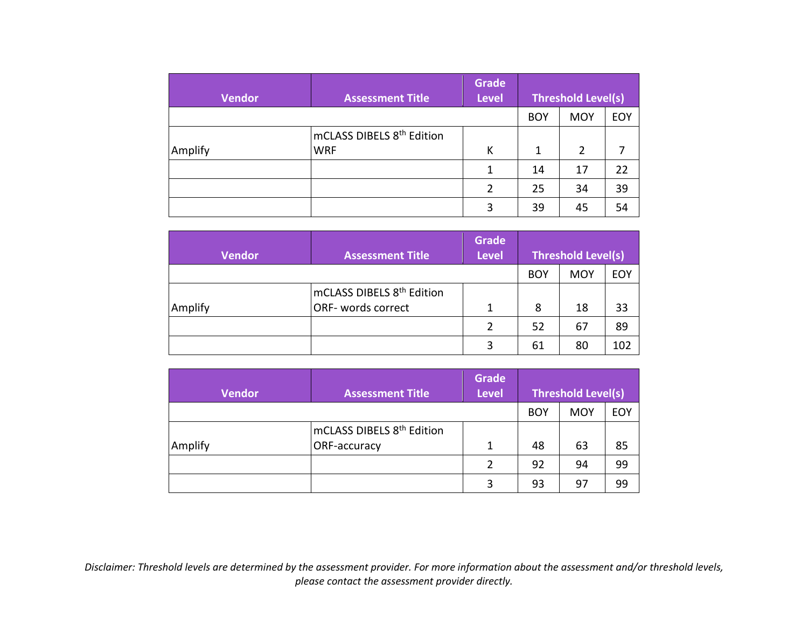| <b>Vendor</b> | <b>Assessment Title</b>               | <b>Grade</b><br><b>Level</b> | Threshold Level(s) |            |            |
|---------------|---------------------------------------|------------------------------|--------------------|------------|------------|
|               |                                       |                              | <b>BOY</b>         | <b>MOY</b> | <b>EOY</b> |
|               | mCLASS DIBELS 8 <sup>th</sup> Edition |                              |                    |            |            |
| Amplify       | <b>WRF</b>                            | K                            | $\mathbf 1$        | 2          |            |
|               |                                       | 1                            | 14                 | 17         | 22         |
|               |                                       | $\overline{2}$               | 25                 | 34         | 39         |
|               |                                       | 3                            | 39                 | 45         | 54         |

| <b>Vendor</b> | <b>Assessment Title</b>               | <b>Grade</b><br><b>Level</b> | <b>Threshold Level(s)</b> |            |            |
|---------------|---------------------------------------|------------------------------|---------------------------|------------|------------|
|               |                                       |                              | <b>BOY</b>                | <b>MOY</b> | <b>EOY</b> |
|               | mCLASS DIBELS 8 <sup>th</sup> Edition |                              |                           |            |            |
| Amplify       | <b>ORF-</b> words correct             | 1                            | 8                         | 18         | 33         |
|               |                                       |                              | 52                        | 67         | 89         |
|               |                                       | 2                            | 61                        | 80         | 102        |

| <b>Vendor</b> | <b>Assessment Title</b>               | <b>Grade</b><br><b>Level</b> | <b>Threshold Level(s)</b> |            |            |
|---------------|---------------------------------------|------------------------------|---------------------------|------------|------------|
|               |                                       |                              | <b>BOY</b>                | <b>MOY</b> | <b>EOY</b> |
|               | mCLASS DIBELS 8 <sup>th</sup> Edition |                              |                           |            |            |
| Amplify       | ORF-accuracy                          | 1                            | 48                        | 63         | 85         |
|               |                                       | 2                            | 92                        | 94         | 99         |
|               |                                       | 3                            | 93                        | 97         | 99         |

*Disclaimer: Threshold levels are determined by the assessment provider. For more information about the assessment and/or threshold levels, please contact the assessment provider directly.*